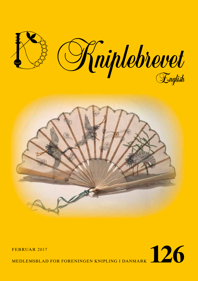



MEDLEMSBLAD FOR FORENINGEN KNIPLING I DANMARK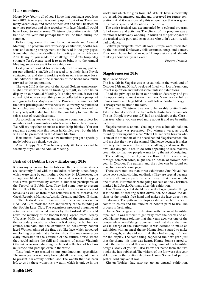# **Dear members**

Happy New Year to all of you. I hope that you had a good leap into 2017. A new year is opening up in front of us. There are many vacant days, and some of them can and shall be used on new lace projects and time together with lace friends. I would have loved to make some Christmas decorations which fell flat also this year, but perhaps there will be time during the summer.

Before long comes the time for our Annual- and General Meeting. The program with workshop, exhibitions, booths, lessons and evening arrangement can be read in the gray pages. Remember that the deadline for participation is February 20th. If any of you made the challenge for Årets Knipledag (triangle Tera), please send it to us or bring it to the Annual Meeting, so we can use it for an exhibition.

Last year we looked for somebody to be sparring partner for our editorial staff. We did succeed to get help. Jana Novak contacted us, and she is working with us on a freelance basis. The editorial staff and the members of the board look much forward to the cooperation.

The year 2017 is the year of the Royal Golden Anniversary. Right now we work hard on finishing our gift, so it can be on display on our Annual Meeting. It is being written, drawn and edited right now so everything can be collected in a pamphlet and given to Her Majesty and the Prince in the summer. All the texts, prickings and worksheets will currently be published in Kniplebrevet, so there is something to look forward to. Everybody will in due time have the possibility to make themselves a set of royal placemats.

As something new we will try to make a common project for members and non-members, which means, for all lace makers. We will try together to make a friendship blanket. You can read more about what this means in Kniplebrevet, but the idea will also be presented on the Annual Meeting.

Remember, if you recruit a new member, you get a specially made bobbin as a thank-you gift.

Again, Happy New Year to everybody. We look forward to see many of you on the Annual Meeting.

# **Festival of Bobbin Lace – Krakovany 2016**

Krakovany is known for its folklore. Its picturesque streets are constantly filled with the melodies of lovely tunes. Songs, which were sung by our mothers. On May 14-15, however, the village was filled with different tones. A concert of tapping sticks was performed by almost a hundred participants of the Festival of Bobbin Lace. They had come here to present the results of their webbed lace work from various corners of Slovakia as well as from other countries such as Moravia, the Czech Republic, Hungary, Austria, Croatia, and Great Britain.

 The festival was organized by the civic association BÁBENCE to mark the 20th anniversary of the founding of the Bobbin Lace Club. The organizers prepared a number of activities which attracted visitors by the busload. Who could resist the memory of the bobbin lacing legend from Piešany Víazoslav Mišík or the arranging work of the students from the secondary vocational school in Rakovice, the bobbin lace course, seminars, and the exhibition of Krakovany bobbin lace? Women admired the fine, web-like lace, which appeared on clothing presented at a fashion show. The men were especially interested in the vestibule of the culture house, where they could admire the skill and mastery of mister Vladimir Glasnák, who was exhibiting the largest collection of bobbins in Europe and, perhaps, even in the world.

Taste buds were treated to our grandmothers' specialities. The main goal was not only to delight all the senses, but mainly to present Krakovany bobbin lace. The wealth that has been left to us by these women is a wealth, which is unique in the world and which the girls from BÁBENCE have successfully protected, documented, taught, and preserved for future generations. And it was especially this unique lace that was given the greatest space and attention at the festival.

The entire festival was accompanied by a cultural program full of events and activities. The climax of the program was a traditional Krakovany wedding, in which all the participants of the festival took part, and even those who didn't want to, still had to dance.

Festival participants from all over Europe were fascinated by the beautiful Krakovany folk costumes, songs and dances. They went home full of wonderful impressions and already thinking about next year's event.

*Piscová Daniela.*

# **Slagelsemessen 2016**

#### *By Annette Nielsen*

The lace fair in Slagelse was as usual held in the week-end of October 29th and 30th. A week-end filled with lots of reunions, lots of inspiration and indeed some fantastic exhibitions.

I had the privilege to be in our booth on Saturday, and got the opportunity to meet many members. Many wonderful reunions, smiles and hugs filled me with lots of positive energy. It is always nice to attend the fairs.

The annual Christmas tree was unbelievable pretty. Bente Eskerod had decorated the tree with fantastic lace ornaments. The last Kniplebrevet (no.125) had an article about the Christmas tree, where you can read more about it and see beautiful pictures.

Slagelsemessen's annual challenge was a hot air balloon. Beautiful lace was presented. Two winners were, as usual, found by drawing out of a hat. When I talked with Kirsten who is one of the members of the board behind Slagelsemessen, she told me that they have the Annual Challenge because it makes ordinary lace makers take up the challenge, and make their own lace designs. It has to do with appealing to lace maker's creativity, so that new people wants to try the art of designing.

The challenge for next year is a flower. Let us see if we, through common force, might see an ocean of flowers next year in October. The pattern and the rules can be found on Slagelsemessen's home page.

There were not less than three exhibitions. Jana Novak had some very special clothing on display. They are special because they are all unique patterns, which mean that there is only one of each. Her models were going for sale on the Christmas marked in Lübeck, Germany after this exhibition.

Jana Novak says that she likes to make bigger, usable things. It is the fun of creating which drives her. She draws the designs of the models free hand and makes the lace directly on the drawing. The pattern develops as she works, both when it comes to colors and the amount of bobbin pairs to use. The process is fascinating.

Hanne Sonne gave an exhibition with the most beautiful tape lace. It was difficult to get away from the hearts and angels. Hanne Sonne told me that she, years ago, was one of the people who started Slangerupmessen, and that she at that time was in charge of the exhibitions. It was decided to make an exhibition with an angel-theme. Hanne Sonne stared to make lots of angels, as she did not think they had enough of them for the display. The same thing happened the next year, just that the theme this time was hearts. Hanne Sonne started to make the patterns, and this was the beginning of her beautiful designs. Many of you will also know her name from the two books she has published. The visitors of the fair were this year able to enjoy the pretty exhibition Hanne Sonne had put together. And enjoyed it was.

Kirsten Wohlert had also set up an unusual exhibition.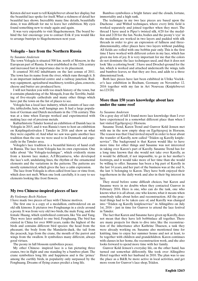Kirsten did not want to tell Kniplebrevet about her display, but the beautiful lace spoke for itself. What a richness of detail her beautiful lace shows. Incredibly many fine details, beautifully done, it was difficult for me to leave her exhibition. My eyes found something new to study again and again.

It was very enjoyable to visit Slagelsemessen. The board behind the fair encourage you to contact Erik if you would like to arrange bustrips to Slagelsemessen next year.

## **Vologda – lace from the Northern Russia**

#### *by Susanne Andersen*

The town Vologda is situated 500 km. north of Moscow, in the European part of Russia. It was established in the 12th century and increased fast in importance due to its placement.

It counted 301.642 inhabitants on the last census of 2011. The town has its name from the river, which runs through it. It is an important industrial centre and a railway junction. Railway equipment, agricultural machinery, textiles, glass, concrete, cheese and butter are produced here.

I will not burden you with too much history of the town, but it contains plundering of the Mongols, Ivan the Terrible, building of five-steeple cathedrals and many other things which have put the town on the list of places to see.

Vologda has a local lace industry, which consists of lace-outfits, tablecloths, hats, wall hangings aso. It had a large population of German and Dutch merchants in the 17th century. This was at a time when Europe worked and experimented with making lace out of precious metals.

Kulturhistorie Tønder hosted an exhibition of Danish lace in Vologda in 2015, and it was Russia's turn to host an exhibition on Kniplingsfestivalen I Tønder in 2016 and show us what they were capable of. And what we saw was quite another lace tradition than the one we were used to in Denmark and especially in the Tønder area.

Vologda's lace tradition is a beautiful history of hand craft in Russia. The lace from Vologda has its own expression. One talks about "the Vologda-technique", which evidently stems from a known lace maker, A.F.Bryantseva, who developed the lace's soft, undulating lines, the rhythm of the ornamental elements and the variations in the patterns. The patterns are mostly symmetrical, which gives the lace a calm expression.

The lace from Vologda is often called frost lace or rime frost, which does not melt. When one look carefully, it is easy to see elements looking like frost flowers.

### **My two Chinese-inspired pieces of lace**

### *By Veslemøy Bech-Nielsen*

I have made two pieces of lace with Chinese motives.

The first one is a copy of a medallion, embroidered on an old silk kimono. It pictures two Fenghuangs in a circle around a peony. It was from very old two birds, the male Feng, and the female Huang, which symbolized contrasts, like Yin and Yang. They were later unified to one bird, Fenghuang. The bird has existed in China for over 8000 years, ranks the highest of the birds and contains different bird species: the head from the pheasant, the body from the Mandarin-duck, the tail from the peacock, legs from the crane, the mouth of the parrot and wings from the swallow. It symbolizes many different, always good virtues.

The peony in full blossom symbolizes peace.

My other Chinese- inspired lace is a fan picturing three cranes, two in flight and one standing by a bamboo plant. The crane symbolizes long life and happiness and is the 'prince' among the earthly birds, in popularity only surpassed by the Fenghuang. Dreams of flying cranes predict a long life.

Bamboo symbolizes a bright future and the clouds, fortune, immortality and a high rank.

The technique in my two lace pieces are based upon the Duchesse - and Withof techniques, where every little field is worked separately and joined together when they meet. The thread I have used is Piper's twisted silk, 4/20 for the medallion and 2/20 for the fan. Necks, bodies and the peony's 'eye' in the medallion are worked in two layers and padded with silk threads in order to give an expression of fullness and threedimensionality, other places have two layers without padding. All fields are rolled with one bobbin pair only. This is the first time I have worked with different colors in my lace, which has given me lots of joy. It is very important for me that the colors do not dominate the lace techniques used, and that it does not look 'like a coloring book'. I have used Drochel-ground for the fan, which is worked and attached underneath the wings, tails and bamboo leaves, so that they are free, and adds to a three dimensional look.

Both lace pieces have last been exhibited in Ulrike Voelcker's lace exhibition in Bochum, Germany on November 12. 2016 together with my fan in Art Nouveau (Kniplebrevet no.123/28)

## **More than 150 years knowledge about lace under the same roof**

#### *by Susanne Andersen*

On a gray day of fall I found more lace knowledge than I ever have experienced in a somewhat different place than when I last visited Egebjergvej i Horsens.

Susanne Trend, Karen Trend and Gunvor Kold Jensen met with me in the now empty shop on Egebjergvej in Horsens. The reason was that I had invited myself in order to hear about the transfer of Karelly, now called "Tråden og Karelly knipleservice". The background is that Karen would like to have more time for other things and Susanne was not interested in taking over Karen's part of Karelly. Susanne Trend has for a long time known that she would not take over Karelly, as it would be difficult, if not impossible, to go in her mother's footsteps, and it would take more of her time than she would be willing to offer. Susanne has been a big part of Karelly in the last 14 years, and her part of the business was at the end ¾, the last ¼ belonging to Karen. They have both enjoyed their togetherness in the daily work and also in their big interest in lace.

They stood before some difficult choices, but Karen and Susanne were in no doubts when they contacted Gunvor in February 2016. Here is one, who can do the task, one who knows what it is all about, one who knows, what it means when somebody talks about holes and reconstruction. All the practical things had to be taken care of, and Karelly was changed into "Tråden og Karelly knipleservice" in Allingåbro on July 1st, 2016 – just in time for Gunvor to attend the lace festival in Tønder.

The fact that Karen and Susanne have given up Karelly, does not mean that they have left bobbinlace all together. There are many projects for them to dive into, like the reconstruction of the inheritance after Kathrine Thuesen, a task they were already working on. Susanne also mentioned time for knitting, time to enjoy her summer house and not at least, to be together with children and grandchildren. Karen continues with classes in her home, the reconstruction work, and she also looks forward to spend more time with her family.

Gunvor Kold Jensen's everyday life, on the other hand, has turned out somewhat differently. She took over Allingåbro Hotel together with her husband in 2010. The plan was to use the place as a B&B, be more active in local activities, and get more room for Gunvor's lace shop, Tråden.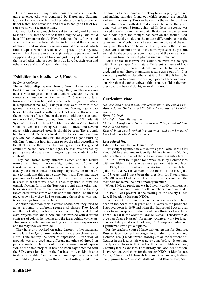Gunvor was not in any doubt about her answer when she, quite unexpectedly, was contacted by Karen and Susanne. Gunvor has, since she finished her education as lace teacher under Karen, had her as idol and has also had good use of Karen's work with reconstructions.

Gunvor looks very much forward to her task, and her way to look at it is, that she has to learn along the way. One could hear "I'll remember that", "Have I told you that...." again and again, and when the ladies started to talk about the thickness of thread used in Idria, merchants around the world, which thread equals which thread, how to prick a pricking, how many holes there are in an xxx-Tønderlace sequence – then I stopped making notes, sat back and just enjoyed the talking of the three ladies, who in each their way have let their own and other's love and joy of lace fill their lives.

## **Exhibition in schoolhouse 2, Emden,**

### *by Sonja Andersen*

The exhibition displays work from different classes hosted by the German Lace Association through the year. The lace spans over a wide range of shapes and colors. One can say that it shows a continuation from the theme of 2015, where structure, form and colors in half stitch were in focus (see the article in Kniplebrevet no. 122). This year they went on with other geometrical shapes, colors, structures and flowing organic patterns. They also worked with the 3-D look as an artform within the expression of lace. One of the classes told the participants to choose 3-4 different grounds from the books "Gründe mit System" by Uta Ulrich and "Bobbin lace stitches" by Bridget Cook. A technical drawing was made of these and several places with connected grounds should be seen. The grounds had to be fitted into geometrical forms, like a square or a triangle. One had to draw the start, the edges and a good finishing off. One found out how far apart to set the pins according to the thickness of the thread by making samples. The ground could not be too loose or too tight. The task was finished by putting several squares or triangles together, made in color contrasts.

They had hosted many different classes, and the results were all exhibited in the same high-roofed room. Some had transferred a picture of a flower or a landscape into lace, using exactly the same colors as in the original picture. It is unbelievable to think that this can be done, but it can. They had made prickings and worksheets in Torchon and then made samples in order to see if it was doable. Then they tried to draw the organic flowing form in the Torchon ground using other patterns. Worksheets were made in order to show how to bring the colored threads from one flower to the other. The finished piece shows how they had to challenge themselves with pattern-drawings from start to finish.

Another exhibition form a course shows how they tried to adjust grounds to different geometrical shapes. They found out that not all grounds are useable. A text by the different class projects tells about how one has worked with different contrasts of colors, the themes and the ideas behind each class. This gives a better understanding for the items expressions and the way they are worked.

They have also worked on using different other materials in the lace, like Q-tips, small rubber bands, pipe- cleaners aso. Here is the fantasy the form of expression. A variation of grounds was also used and different materials of thread on pairs or single bobbins in order to show variations of expression of the same project. It has also been experimented with the 3-D expression, both in the flat lace or by making it able to stand on a table. One has bent square shapes in order to get some odd angles, and again they worked with grounds from

the two books mentioned above. They have, by playing around and making samples, found out which grounds are suitable and well functioning. This can be seen in the exhibition. They have also worked with different colors. The same thing was done with the round forms exhibited. In these the centre was moved in order to archive an optic illusion, so the circles look conic. And again, the thought has been on the ground used, and the necessity to design the pattern differently, so that the same amount of bobbins can be used on the wide and the narrow place. They tried to have the flowing form in the Torchon pieces continue into a braid on the narrow place of the pattern, so that the shape creates a continuation and the same amount of bobbins from the widest place is used until the end.

Some of the best from this exhibition were the collages with flowing shapes from nature. Different amounts of bobbin pairs, gimps, different materials and lace techniques were used, and many different amazing results came out of it. It is almost impossible to describe what it looked like. It has to be seen. One has to admire every single piece of lace, one more amazing than the other, cobweb thin or more solid in their expression. It is, beyond doubt, art work in thread.

## **Curriculum vitae**

*Name: Aleida Maria Baumeister-Jonker (normally called Lia). Adress: Johan Greivestraat 22" 1061 AV Amsterdam The Netherlands.*

*Born: 5-2-1940*

*Married to: Guus Baumeister*

*Children: Marijke and Hetty, son in law: Peter, grandchildren: Isa, Kiki and Eline.*

*Retired, in the past I worked in a pharmacy and after I married I worked in my husbands business.* 

### *Lace related life:*

I started to make lace in Januari 1975.

I was taught by mrs. Van Olffen for a year. I also learnt a lot about old lace and how to identify old lace from mrs Mulder, who was the custodian of the Rijks museum in Amsterdam.

In 1977 I went to England for a week, to study Honiton lace with mrs. Elsie Luxton. She was an expert on that type of lace.

In 1977, I was present with the starting of the Dutch lace guild the LOKK. I have been in the board of the lace guild for 13 years and I have been the president for 8 years until 7-3-1991. After I had to step down, as my terms were over, the members made me the first honorary member.

When I left as president we had nearly 2600 members. At the moment we come close to 3000 members in our lace guild.

In 1978 I was present at the starting of the society Dutch Lace Education (Stichting NKO).

I am one of the founder members of the society. I have been in the board for 20 years and 16 years as the president. I stepped down in 1999 and when that happened I got a royal order from our queen Beatrix for all my efforts for Lace. Now I am "Knight in the order of Orange Nassau" ("Ridder in de orde van Oranje Nassau") for all my volunteer work for lace.

When I stepped down I had taught 150 peoples (Ladies and 1 gentleman) who got a diploma.

For the teachers course I have written lessons for Guipure, Russian tape lace, Schneeberger lace, Italian Idria lace and Honiton lace (I made thread drawings of all the different difficulties in the lace, as this was never done before). It took me nearly a year to write that part of the course), Milanese lace, Chantilly lace, Skane lace, Lace history and lace identification, I have written workshops for the society NKO on Blonde lace, Cantu, Fillings of old Brussels lace and Mechlin lace, Maltese lace, Ipswich lace, "Lassen", Multicoloured Blonde lace, Mul-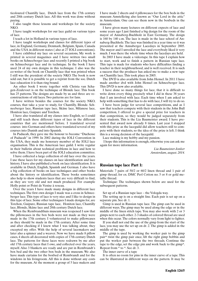ticoloured Chantilly lace, Dutch lace from the 17th century and 20th century Dutch lace. All this work was done without paying.

I also taught those lessons and workshops for the society NKO.

I have taught workshops for our lace guild on various types of lace.

I teach a lot in Holland in various types of lace.

I have taught workshops and classes for different types of lace, in England, Germany, Denmark, Belgium, Spain, Canada and the USA in different states ( also at 27 IOLI conventions).

I have exhibited my lace on several occasions, My work is printed in several magazines and I have written two small books on Schneeberger lace and recently I printed a big book on Schneeberger lace and its technique. In the book I have used 24 of my own designs in this technique. I also was the co-writer of the book on Chantilly lace that was printed when I still was the president of the society NKO. The book is now sold out, but it is possible to get a reprint from the soc. Dutch lace education it is than ring bound.

An other book I wrote together with Christa van Schagen-Zeulevoet is on the technique of Blonde lace. This book has 25 patterns. The designs are made by us and three are reconstructions of old laces. Two patterns are for fans.

I have written besides the courses for the society NKO, courses, that take a year to study, for Chantilly, Blonde. Schneeberger lace, Russian tape lace, Skåne lace, Milanese lace, Honiton lace, Guipure and Torchon.

I have also translated all my classes into English, so I could and still teach these different types of lace in the different countries that are mentioned before. I translated several courses into German and others have translated several of my courses into Danish and into Spanish.

In Paducah, they gave me the honour to become "Duchesse of Paducah" in 1999. In 2002 during the IOLI Convention in the USA, they made me honorary member of the IOLI lace organisation. This is the American lace guild. I write regular in their bulletin about technical problems in lace and how to solve them. I have been part of the IOLI education committee.

I have collected a large collection of old lace over the years. I use these laces for my classes on lace identification and lace history. I have also published a book on lace identification. It is available in Dutch, English, Spanish and German. I also have a big collection of books on lace techniques and other books about the history or identification. These books sometimes also help to show students laces that are very difficult to find, as they are very old and not much produced. For example Holly point or Point de Venise à reseau.

Over the years I have made many designs in different lace techniques. The first own design I made was a cross in Schneeberger lace. This type of lace is very nice and I like to design in this type of lace. Some other techniques I made designs for, are Torchon, Guipure, Russian tape lace, Honiton lace, Chantilly lace, Blonde, Skåne lace and 20th century Dutch lace.

When the Rembrandthuis museum was reopened I saw that the pillowcases in the box beds were not made as they were made in the 17th century. I volunteered to make pillowcases as they should be made in the 17th century. After some time and after checking if I knew what I was talking about, they excepted my offer. With the help of several lacemakers and later also a spinner and a weaver. Now we have made 8 pillow cases, 4 sheets all decorated with copies of 17th century Dutch lace. The patterns for these laces were redrawn by me after old 17th century laces that I owe, and collected over the years, myself. Also 3 blankets are ready and are put in Rembrandt´s box bed and the two other box beds in the museum. We also have made curtains for the boxbed of Rembrandt and for the windows in his livingroom. All this is done without any costs for the museum. At the moment a group of 5 lace makers and I have made 2 sheets and 4 pillowcases for the box beds in the museum Amstelkring also known as "Our Lord in the attic" in Amsterdam. One can see them now in the boxbeds in the museum.

I have given many lectures on different expects of lace and some years ago I just finished a big design for the room of the mayor of Annaberg-Buchholz in East Germany. The design is 160 by 140 c.m. The lace is made in the lace school of Annaberg-Buchholz. The lace was finished in a year time so it was presented at the Annaberger Lacedays in September 2005. The mayor and I unveiled the lace and everybody liked it very much. I was there the whole time when the lacedays are held.

In 2003 I have made a videotape. In this tape I explain how to start, work and to finish a pattern in Russian tape lace. This tape is made for students who have difficulties finding a teacher in their neighbourhood, and is well received. It is such a success that the producer has asked me to make a new tape on Chantilly lace. This took place in 2005.

The DVD is also available from John Hensel. In 2011 I have made another dvd with John Hensel on Schneeberger lace. This DVD is now also available.

I have done so many things for lace, that it is difficult to write down every thing precisely what I did in these 38 years that I am involved with lace. Each time when I am asked to help with something that has to do with lace, I will try to do so.

I have been judge for several lace competitions, and as I saw that teachers compete with their students in the John Bull competition, I offered to give a special prize for teachers in that competition, so they would be judged separately from their students. This is the Lia Baumeister award. I have presented that award now already 8 times. Last year I stopped with this prize as the laceguild did allow teachers still to compete with their students, so the idea of the prize is left. I think this is a wrong decision of the laceguild.

Lace making is my hobby and my passion.

 I hope this information is enough, otherwise you can ask me again for more information.

> *Lia Baumeister-Jonker Amsterdam, august. 2014.*

## **Russian tape lace Part 1:**

Materials: 7 pairs of 50/2 or 60/2 linen thread and 1 pair of gimp thread, for ex. DMC Perl Cotton no. 5 or 8 or gold metallic thread.

Technique: The techniques shown below are used for the subsequent patterns.

Set up of a Russian tape lace – the Vologda way.

The setting up is on a straight line. Each pair is set up on a separate pin. See dr. 1.

Gimp is used in Russian tape lace. The gimp can be used in different ways. The gimp may be used along the edge or in the middle of the linen stitch tape. You may also work with 2 or 3 gimps next to each other. 2-3 shades of colored thread are used when this occur. The colors normally vary from light to lighter.

If you shall not end the use of the gimp from the start of the lace, you may use the set up on dr. 2. The gimp is added in the middle of the tape.

The gimp is used by working the worker pair to the gimp pair\* twist the gimp pair once, lift the right gimp bobbin and put the worker pair between the two threads. Continue the tape to the edge, set the edge pin and work back to the gimp\*. Repeat from \* to \*. See dr. 3.

The inner curve of a tape

It is often no room for pins in the inner curve of a tape. This can be illustrated in different ways on the pattern. It may be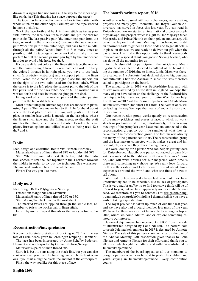drawn as a zigzag line not going all the way to the inner edge, like on dr. 4a. (This drawing has space between the tapes).

The tape may be worked in linen stitch or in linen stitch with whole stitch on the outer edge. I will explain the tape worked in linen stitch first.

Work the lace forth and back in linen stitch as far as possible. \*Work the lace back tothe middle and put the worker pair aside. The last passive pair (the innermost pair from the tape, nearest to the inner curve) becomes the new worker pair. Work this pair to the outer edge, and back to the middle, through all the pairs.\*Repeat from \* to \* as many times as possible, until the tape again can be worked normally. It is important to pull the second passive pair tight by the inner curve in order to avoid a big hole. See dr. 5.

If you use different colors in the linen stitch tape, the worker and the passives might have different colors. In order to keep the colored threads in its right place, you have to use back stitch (cross-twist-twist-cross) and a support pin in the linen stitch. When the curve is to the right, place the support pin to the right of the two pairs used for the back stitch. When the curve is to the left, place the support pin to the left of the two pairs used for the back stitch. See dr. 6. The worker pair is worked forth and back between the gimp pair in dr. 6.

Filling worked with the worker pair and the outer passive pair from the linen stitch tape.

Most of the fillings in Russian tape lace are made with plaits, using 2 pairs. The lace maker has to think beforehand about where the best place to start a filling with plaits is. The best place in smaller lace works is mostly on the last place where the linen stitch tape and the filling meets, so that the plait used for the filling, can end where it started. Besides plaits are picots, Russian spiders and tallies/leaves also being used. See dr. 7 and 8.

# **Doily**

Idea, design and execution: Bente Vivi Hansen, Horbelev

Materials: 60 pairs of linen thread 28/2 or Goldschild 50/3

Start. Wherever you find it best. Bente has, unlike the tradition, chosen to sew the lace together in the 4 corners towards the middle in order to try out the technique. See worksheet. The marked twists applies for the whole lace.

Finish: The way you like most.

# **Doily no. 5**

Idea, design: Britta V Jørgensen, Suldrup

Execution: Margit Nielsen, Skærbæk

Materials: 38 pairs of linen thread 28/2 or 35/2

Start: Along the black line on the worksheet.

The marked twists are applied through the whole lace, remember to twists the workerpair in linen stitch.

Finish: by use of magical threads or the way you find suitable.

# **Reconstruction/interpretation**

Reconstruction/interpretation of pricking no.27 from the estate of Lucie Krebs, given to Foreningen Knipling i Danmark. The lace has been interpreted by Anne Schelby-Pedersen,

Hemmet and reinterpreted by Gunnel Nielson, Sverige.

Materials: 52 pairs of linen thread 60/2

Start: it is best to start along the black line, but you can also start wherever you like. The finishing line will b the least obvious if you start along the black line and not at the cornerpoint.

Finish the way you like for this piece of lace.

# **The board's written report, 2016**

Another year has passed with many challenges, many exciting projects and many joyful moments. The Royal Golden Anniversary has stayed in focus this last year. You can read in Kniplebrevet how we started an international project a couple of years ago. The project, which is a gift to Her Majesty Queen Margrethe and Prince Henrik on their golden anniversary, will be on display on the Annual Meeting. It has been, and is still an enormous task to gather all loose ends and to get all details in place on time, so we are ready to deliver our gift when the day arrives. I will take this opportunity to thank everybody involved and a special thank you goes to Solveig Nielsen, who has done all the mounting for us.

Astrid Nielsen did not participate in the last General Meeting, due to illness. Astrid decided to pull out of the board during the summer of 2016, due to illness. Linda Olsen was therefore called as 1. substitute, but declined due to big personal commitments. Charlotte Zachrau, 2. substitute, was therefore called to participate on the board.

The annual topic in 2016 was Bedfordshire lace, and with this we were assisted by Louise West in England. We hope that many of you have taken up the challenge of the Bedfordshire technique. A big thank you goes to Louise West for her help. The theme in 2017 will be Russian Tape lace and Aleida Maria Baumeister-Jonker (for short Lia) from The Netherlands will be leading the way. We hope that many of you will also try out this technique.

Our reconstruction-group works quietly on reconstruction of the many prickings and pieces of lace, to which no worksheets or prickings exist. It has, unfortunately, not been many meetings of the group last year. Lace makers, connected to the reconstruction group, try out little samples of what they receive from the reconstruction group. The lace makers also try out many of the patterns sent to us. The reconstruction group and the lace makers connected with it, makes a great and important job, for which they deserve a big thank you.

We were looking for a person who can help us getting ideas for Kniplebrevet. Happily, one person contacted us. Jana Novak is connected to the editorial staff on a "freelance" basis. So, Jana will write articles for our magazine when time is there and something new shows up. We really look forward to this collaboration and look forward to read about Jana's experiences around the world and what she finds of news to tell about.

We tried to host several classes last year, but they have unfortunately had to be cancelled, due to lack of participants. This is very sad for us. We try to find topics, we think will be of interest to you, but we have apparently not been able to succeed. We therefore ask you to contact us at: design@kniplingi-danmark.dk or. projekt@knipling-i-danmark.dk if you have a wish of taking a specific class.

The royal project has taken up much of our time last year, and we have also had a board member less most of the year. We have for these reasons not been able to arrange a trip in 2016, where we could admire lace or explore something related to our interest.

Julemærkehjemmene has received kr. 8.800 from the sale of Julemærket, designed by Lone Nielsen. The pattern sold to profit Julemærkehjemmene in 2017 is designed by Annette Nielsen. The sale of this pattern starts as usual on the day of the Annual Meeting. Our association gives thanks to Lone Nielsen and Annette Nielsen for their effort, and thank you to all of you, who bought the pattern, and with this contributed to Julemærkehjemmene.

The members of the board appeal to all our members to design a pattern which can be sold to profit the children and youth staying in Julemærkehjemmene. Every contribution counts.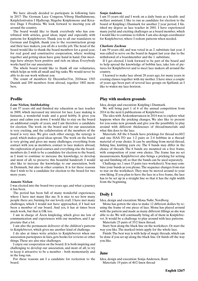We have already decided to participate in following fairs in 2017: The German Lace Congress, Viborg Husflidsmesse, Kniplefestivalen I Hjallerup, Slagelse Kniplemesse and Kreative Dage I Fredricia. We look forward to meeting you all around the country.

The board would like to thank everybody who has contributed with articles, good ideas, input and especially with patterns for Kniplebrevet. Thank you to all our translators to German and English, thank you to the reconstruction group and their lace makers, you all do a terrific job. The head of the board would like to thank the board members for a good year, for real good and constructive cooperation, where working together and getting ideas have gone hand in hand. Our meetings have always been positive and rich on ideas. Everybody works hard for our association.

The whole board would like to thank all our voluntaries, which helps us with all small and big tasks. We would never be able to do our work without you

The count of members by December31st, 2016was: 1503 Danish and 209 members from abroad, together 1802 members.

## **Profile**

### *Lone Nielsen, Stubbekøbing*

I am 57 years old and finished my education as lace teacher in 2009, which increased my interest for lace. Lace making is fantastic, a wonderful trade and a good hobby. It gives you peace and calms you down. I would like to stay on the board an additional couple of years, and I am therefore a candidate for election. The work on the board and for our association is very exciting, and the collaboration of the members of the board is very nice. We give each other energy, the synergy is good, which makes good ideas sprout. The work on the board is very giving and gives me many challenges, everything from contact with you as members, contact to lace makers abroad, the exploration of good courses and everything else the boardmembers do. I wish to be a candidate for election to the board, as I want to continue to increase the knowledge, to develop and most of all, to preserve this beautiful handcraft. I would also like to increase the knowledge to our association, both in Denmark, but also in other counties. It is for these reasons that I wish to be a candidate for election to the board for two more years.

### *Annette Nielsen*

I was elected into the board two years ago, and what a journey it has been.

The period has been full of many wonderful experiences, where I have met many like me. It is nice to see how many people there are, burning for our lovely craft. I have met many challenges, which I would not have approached, if I had not been a member of our board. And yes, it has at times been much work, but that is OK too.

I am in charge of Årets knipledag, which gives me lots of communication and experiences with our members, and I appreciate that a lot.

I am also the permanent deliverer of the children's patterns to Kniplebrevet, which gives me another kind of challenge.

I do also at times write articles to Kniplebrevet when our association participates in fairs, gets books for reviews or other things. These are also nice challenges.

I enjoy our cooperation on the board. It is both inspiring and challenging to develop our association, and most of all, to try to keep it attractive to be a member - both momentarily and in the long run.

For these reasons am I a candidate for reelection to the board.

#### *Sonja Andersen*

I am 53 years old and I work on a daily basis as a health- and welfare assistant. I like to run as candidate for election to the board of Knipling i Danmark for another 2 year period. I finished my degree as lace teacher in 2001. I have experienced many joyful and exciting challenges as a board member, which I would like to continue to follow. I am also design coordinator for Kniplebrevet, where I redraw patterns when needed.

### *Charlotte Zachrau*

I am 59 years old, and was voted in as 2. substitute last year. I was called to serve on the board in August last year due to the withdrawal of a boardmember and the 1. substitute.

If I get elected, I look forward to be part of the board and to help spread the knowledge of bobbin lace, take lots of pictures for Kniplebrevet and to meet lace makers all around the country.

I learned to make lace about 28 years ago, for many years in evening classes together with my mother. I have since a couple of years ago been part of several lace groups on Sjælland, as I like to widen my lace-horizon.

## **Play with modern grounds**

Idea, design and execution: Knipling i Danmark.

We will bring part 1 of 6 of the annual competition from 2014 in the next 6 publications of Kniplebrevet

The idea with Årskonkurrancen in 2014 was to explore what happens when the pricking changes. We also like to present for you some new grounds and give you the possibility to play around with different thicknesses of thread/materials and what this does to the lace.

Materials: All the 6 bands have prickings for thread no.60/2 and one HAS TO use 1-2 pairs or 2-4 bobbins in a thread/ material of your choice. It can be anything from metal-thread, fishing line, knitting yarn etc. The 6 bands may differ in the choice of threads. The 6 bands are mounted on a free frame, with composition of your own choice. The frame has no set measurements. Kniplebrevet also brings a pricking for setting up and finishing off, so that the bands can be used separately.

Challenge no. 1 uses 15 pairs (see worksheet). You may combine your bands as you please. The sequence changes from star to star on the worksheet. They may be moved around to your own liking. If you plan to have the lace in a free frame, the lace has to be set up in a straight line so that it has the right width from the beginning.

# **Doily 1**

Idea, design and execution: Mona Nøhr, Nordborg

Mona has gotten the idea to make 12 different doilies by reusing the frame of one piece of lace. Mona has played around with the pattern and made as many different fillings as she was able to do. We will continually bring all of them in Kniplebrevet. It would be a challenge to play around with lace patterns.

Materials: 25 pairs of 35/2 linen thread.

Start: best along the black line on the worksheet. Or start the way you like. The marked twists apply for the whole lace.

Finish: The best way is with help of magic threads, which can be done if you set up along the black line. Or finish off the way you like.

### **Jane**

Idea, design and execution: Sonja Andersen, Ikast Materials: 19 pairs of 40/2 linen thread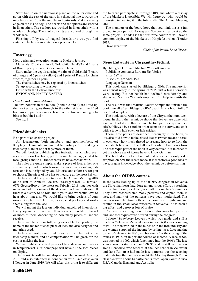Start: Set up on the narrowest place on the outer edge and go on with the rest of the pairs in a diagonal line towards the middle or start from the middle and outwards. Make a sewing edge on the inside edg . The hearts and the spiders are worked in linen stitch. The scallops are worked in linen stitch with a whole stitch edge. The marked twists are worked through the whole lace.

Finishing off: by use of magical threads or a way you find suitable. The lace is mounted on a piece of cloth.

## **Easter egg**

Idea, design and execution: Annette Nielsen, Jernved

Materials: 17 pairs all in all, Goldschild Nm 40/3 and 2 pairs of Razzle perl yarn no. 8 (for chain stitches)

Start: make the egg first, using 9 pairs of Goldschild (3 pairs of orange and 6 pairs of yellow) and 2 pairs of Razzle for chain stitches, together 11 pairs.

The chainstitches may be replaced by linen stitches.

Set up according to worksheet.

Finish with the Belgian knot row.

ENJOY AND HAPPY EASTER

### *How to make chain stitches:*

The two bobbins in the middle (bobbin 2 and 3) are lifted up, the worker pair goes through to the other side and the lifted bobbins are put down on each side of the two remaining bobbins as bobbin 1 and 4.

See fig. 1

## **Friendshipsblanket**

Be a part of an exciting project.

All lacemakers, both members and non-members, of Knipling i Danmark are invited to participate in making a friendship blanket or perhaps more of them.

We will, besides publishing this invitation in Kniplebrevet, also post in on Facebook, put it on our homepage, send it to local groups and to all the teachers we have contact with.

The rules are quite simple: make a piece of lace, either one you are very fond of, which would be an already existing pattern, or a lace, designed by you. Material and colors are for you to choose. The piece of lace has to measure at the most 8x8 cm.

The lace should be given to us at The Annual Meeting 2018 or be sent to Annette Nielsen, Præstegårdsvej 12, Jernved, 6771 Gedstedbro at the latest on Febr.1st, 2018 together with name and address, name of the designer and materials used. If there is a history to be told about your lace, we would love to hear about that also. We would like to bring designs of your own in Kniplebrevet. For this, please, send pricking and worksheet along with the lace.

We will mount the lace on individual uncolored linen cloths. Every square with lace will then form a friendship blanket or more of them, depending on how many pieces of lace we receive.

There will be a plan following every blanket posting the name of the maker of each piece of lace, and also designer and materials used.

The lace will not be returned to you, as it will be part of the friendship blanket, and no compensation will be given for the cost of making the lace.

We will publish selected pieces of lace, designs and history in Kniplebrevet. Our homepage will have all the lace pieces on display.

The blankets will be on display on The Annual Meeting 2019 and also exhibited in connection with Kniplefestivalen i Tønder in June 2019. We will after this bring it to different

the fairs we participate in through 2019, and where a display of the blankets is possible. We will figure out who would be interested in keeping it in the future after The Annual Meeting 2020.

The members of the board hope that you think this is a fun project to be a part of. Norway and Sweden will also set up the same project. The idea is that our three countries will have a common display of the blankets on Kniplefestivalen i Tønder 2019.

Have great fun!

*Chair of the board, Lone Nielsen*

## **Neue Entwürfe in Chrysanthe-Technik**

By Hildegard Glös and Martina Wolter-Kampmann

Publishing company: Barbara Fay Verlag

Price: 187 kr.

ISBN: 978-3-925184-15-4

Language: German

This book was started by Hildegard Glös. The manuscript was almost ready in the spring of 2015, just a few alterations were lacking. But her health had declined considerably, and she asked Martina Wolter-Kampmann for help to finish the book.

The result was that Martina Wolter-Kampmann finished the book herself after Hildegard Glös' death. It is a book full off beautiful samples.

The book starts with a lecture of the Chrysanthemum-technique. In short, the technique shows that leaves are done with a nerve, divided into three areas. The first part is a tape in linen stitch, followed by a scroll in order to make the curve, and ends with a tape in half stitch or half spiders.

These three parts are described thoroughly in the book, as it is also told how to make closed leaves (which means a scroll in each end), how much thread to use, and how to go from the linen stitch tape on to the half spiders where the leaves turn. The technique part of the book is very detailed, but in order to get the whole use of it, one have to know German.

The book does not contain colored worksheets, only a description on how the lace is made. It is therefore a good idea to have, or gain knowledge about the technique before starting.

## **About the OIDFA courses.**

In the years leading up to the OIDFA congress in Slovenia, the Slovenian hosts had done an enormous effort by studying the old traditional, local lace, lace patterns and lace techniques. They have reconstructed many patterns and copied them in lace, and many of the patterns have been modernized. This lace was on exhibition both on the congress in Ljubljana and around in the small, local museums in Slovenia. It has been a big effort, and deserves lots of praise.

Courses for learning these different Slovenian lace patterns and lace techniques were offered during the congress.

I chose "Strawberry Leaves", which was made and still is made in Zelezniki. Zelesniki was in over 600 years a mining town. The men worked in the mines or in the iron industry and the women supplied the income by selling lace. Lace making came to Zelezniki in 1881, and became, after the closing of the mines in 1902, an important source of income. A lace school was opened in 1907, which functioned into the 1960's. The lace school was reestablished in 1994/95 and is still in function. Irena Benedicic, who teaches at the lace school in Zelezniki, and Jana Rihtarsic had made lace patterns, put the teaching materials together and also taught the Monday through Friday class. We were about 14 participants from Japan, South Africa, USA, Canada, England and Australia.